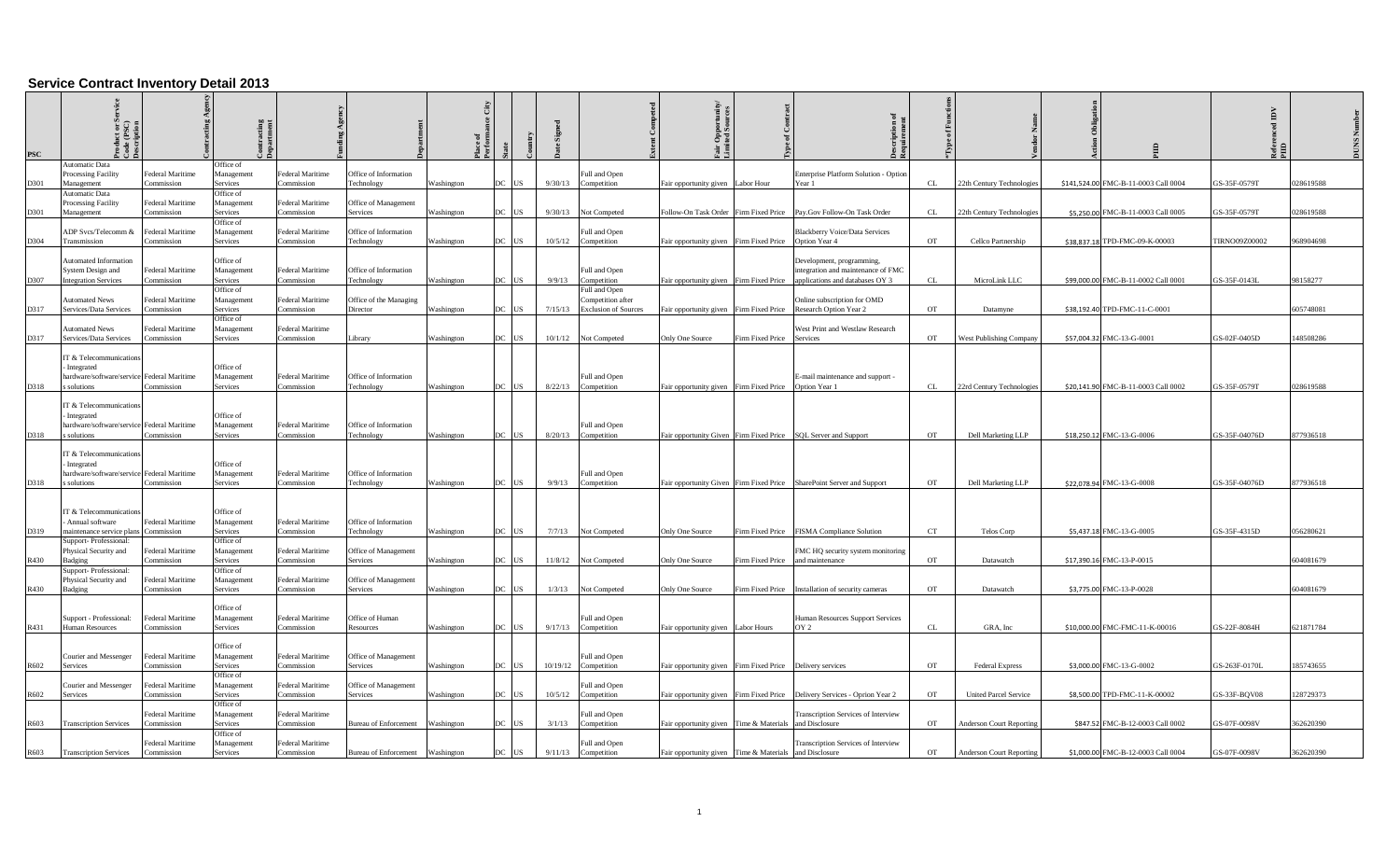## **Service Contract Inventory Detail 2013**

| <b>PSC</b> |                                                                                                     |                                |                                            |                                |                                     |            |     |            |         |                                      |                                                                           |                                                                       |           |                                 |                                      |                      |           |
|------------|-----------------------------------------------------------------------------------------------------|--------------------------------|--------------------------------------------|--------------------------------|-------------------------------------|------------|-----|------------|---------|--------------------------------------|---------------------------------------------------------------------------|-----------------------------------------------------------------------|-----------|---------------------------------|--------------------------------------|----------------------|-----------|
|            | <b>Automatic Data</b>                                                                               |                                | Office of                                  |                                |                                     |            |     |            |         |                                      |                                                                           |                                                                       |           |                                 |                                      |                      |           |
| D301       | Processing Facility<br>Management                                                                   | Federal Maritime<br>Commission | Management<br>Services                     | Federal Maritime<br>Commission | Office of Information<br>Technology | Washington | DC  | <b>US</b>  | 9/30/13 | Full and Open<br>Competition         | Fair opportunity given Labor Hour                                         | Enterprise Platform Solution - Option<br>Year 1                       | CL        | 22th Century Technologies       | \$141,524.00 FMC-B-11-0003 Call 0004 | GS-35F-0579T         | 028619588 |
|            | Automatic Data                                                                                      |                                | Office of                                  |                                |                                     |            |     |            |         |                                      |                                                                           |                                                                       |           |                                 |                                      |                      |           |
|            | Processing Facility                                                                                 | Federal Maritime               | Management                                 | Federal Maritime               | Office of Management                |            |     |            |         |                                      |                                                                           |                                                                       |           |                                 |                                      |                      |           |
| D301       | Management                                                                                          | Commission                     | Services                                   | Commission                     | Services                            | Washington | DC  | US         |         | 9/30/13 Not Competed                 | Follow-On Task Order Firm Fixed Price Pay.Gov Follow-On Task Order        |                                                                       | CL        | 22th Century Technologies       | \$5,250.00 FMC-B-11-0003 Call 0005   | GS-35F-0579T         | 028619588 |
|            | ADP Svcs/Telecomm &                                                                                 | Federal Maritime               | Office of<br>Management                    | Federal Maritime               | Office of Information               |            |     |            |         | Full and Open                        |                                                                           | <b>Blackberry Voice/Data Services</b>                                 |           |                                 |                                      |                      |           |
| D304       | Transmission                                                                                        | <b>Commission</b>              | Services                                   | `ommission                     | Technology                          | Washington | DC  | <b>US</b>  |         | 10/5/12 Competition                  | Fair opportunity given Firm Fixed Price  Option Year 4                    |                                                                       | <b>OT</b> | Cellco Partnership              | \$38,837.18 TPD-FMC-09-K-00003       | <b>TIRNO09Z00002</b> | 968904698 |
|            |                                                                                                     |                                |                                            |                                |                                     |            |     |            |         |                                      |                                                                           |                                                                       |           |                                 |                                      |                      |           |
|            | <b>Automated Information</b>                                                                        | Federal Maritime               | Office of                                  |                                | Office of Information               |            |     |            |         |                                      |                                                                           | Development, programming,                                             |           |                                 |                                      |                      |           |
| D307       | System Design and<br><b>Integration Services</b>                                                    | <b>Commission</b>              | Management<br>Services                     | Federal Maritime<br>Commission | Technology                          | Washington | DC. | <b>TIS</b> | 9/9/13  | Full and Open<br>Competition         | Fair opportunity given Firm Fixed Price                                   | integration and maintenance of FMC<br>applications and databases OY 3 | CL        | MicroLink LLC                   | \$99,000.00 FMC-B-11-0002 Call 0001  | GS-35F-0143L         | 8158277   |
|            |                                                                                                     |                                | Office of                                  |                                |                                     |            |     |            |         | Full and Open                        |                                                                           |                                                                       |           |                                 |                                      |                      |           |
|            | Automated News                                                                                      | Federal Maritime               | Management                                 | ederal Maritime                | Office of the Managing              |            |     |            |         | Competition after                    |                                                                           | Online subscription for OMD                                           |           |                                 |                                      |                      |           |
| D317       | Services/Data Services                                                                              | `ommissior                     | Services<br>Office of                      | Commission                     | Director                            | Washington |     | US         | 7/15/13 | <b>Exclusion of Sources</b>          | air opportunity given<br>Firm Fixed Price                                 | Research Option Year 2                                                | <b>OT</b> | Datamyne                        | \$38.192.40 TPD-FMC-11-C-0001        |                      | 605748081 |
|            | <b>Automated News</b>                                                                               | Federal Maritime               | Management                                 | Federal Maritime               |                                     |            |     |            |         |                                      |                                                                           | West Print and Westlaw Research                                       |           |                                 |                                      |                      |           |
| D317       | Services/Data Services                                                                              | Commission                     | Services                                   | Commission                     | Library                             | Washington |     | DC US      |         | 10/1/12 Not Competed                 | Only One Source<br>Firm Fixed Price                                       | Services                                                              | <b>OT</b> | <b>West Publishing Company</b>  | \$57,004.32 FMC-13-G-0001            | GS-02F-0405D         | 48508286  |
|            | IT & Telecommunication                                                                              |                                |                                            |                                |                                     |            |     |            |         |                                      |                                                                           |                                                                       |           |                                 |                                      |                      |           |
|            | Integrated                                                                                          |                                | Office of                                  |                                |                                     |            |     |            |         |                                      |                                                                           |                                                                       |           |                                 |                                      |                      |           |
|            | hardware/software/service Federal Maritime                                                          |                                | Management                                 | Federal Maritime               | Office of Information               |            |     |            |         | Full and Open                        |                                                                           | E-mail maintenance and support -                                      |           |                                 |                                      |                      |           |
| D318       | solutions                                                                                           | Commission                     | Services                                   | Commission                     | Technology                          | Washington | DC. | US         |         | 8/22/13 Competition                  | Fair opportunity given Firm Fixed Price Option Year 1                     |                                                                       | CL        | 22rd Century Technologies       | \$20,141.90 FMC-B-11-0003 Call 0002  | GS-35F-0579T         | 028619588 |
| D318       | IT & Telecommunications<br>- Integrated<br>ardware/software/service Federal Maritime<br>s solutions | Commission                     | Office of<br>Management<br><b>Services</b> | Federal Maritime<br>Commission | Office of Information<br>Technology | Washington | DC. | US         |         | Full and Open<br>8/20/13 Competition | Fair opportunity Given Firm Fixed Price SQL Server and Support            |                                                                       | <b>OT</b> | Dell Marketing LLP              | \$18,250.12 FMC-13-G-0006            | GS-35F-04076D        | 877936518 |
|            |                                                                                                     |                                |                                            |                                |                                     |            |     |            |         |                                      |                                                                           |                                                                       |           |                                 |                                      |                      |           |
|            | IT & Telecommunications                                                                             |                                |                                            |                                |                                     |            |     |            |         |                                      |                                                                           |                                                                       |           |                                 |                                      |                      |           |
|            | - Integrated<br>hardware/software/service Federal Maritime                                          |                                | Office of<br>Management                    | Federal Maritime               | Office of Information               |            |     |            |         | Full and Open                        |                                                                           |                                                                       |           |                                 |                                      |                      |           |
| D318       | solutions                                                                                           | ommission:                     | Services                                   | <b>Commission</b>              | Technology                          | Washington |     | US         | 9/9/13  | Competition                          | Fair opportunity Given Firm Fixed Price SharePoint Server and Support     |                                                                       | <b>OT</b> | Dell Marketing LLP              | \$22,078.94 FMC-13-G-0008            | GS-35F-04076D        | 877936518 |
|            |                                                                                                     |                                |                                            |                                |                                     |            |     |            |         |                                      |                                                                           |                                                                       |           |                                 |                                      |                      |           |
|            | IT & Telecommunications                                                                             |                                | Office of                                  |                                |                                     |            |     |            |         |                                      |                                                                           |                                                                       |           |                                 |                                      |                      |           |
|            | Annual software                                                                                     | Federal Maritime               | Management                                 | Federal Maritime               | Office of Information               |            |     |            |         |                                      |                                                                           |                                                                       |           |                                 |                                      |                      |           |
| D319       | maintenance service plan                                                                            | Commission                     | Services                                   | Commission                     | Technology                          | Washington |     | DC US      |         | 7/7/13 Not Competed                  | Only One Source                                                           | Firm Fixed Price FISMA Compliance Solution                            | CT        | Telos Corp                      | \$5,437.18 FMC-13-G-0005             | GS-35F-4315D         | 056280621 |
|            | Support-Professional:<br>Physical Security and                                                      | Federal Maritime               | Office of<br>Management                    | Federal Maritime               | Office of Management                |            |     |            |         |                                      |                                                                           | MC HQ security system monitoring                                      |           |                                 |                                      |                      |           |
| R430       | Badging                                                                                             | Commission                     | Services                                   | Commission                     | Services                            | Washington | DC. | <b>US</b>  |         | 11/8/12 Not Competed                 | Only One Source                                                           | Firm Fixed Price and maintenance                                      | <b>OT</b> | Datawatch                       | \$17,390.16 FMC-13-P-0015            |                      | 604081679 |
|            | Support-Professional:                                                                               |                                | Office of                                  |                                |                                     |            |     |            |         |                                      |                                                                           |                                                                       |           |                                 |                                      |                      |           |
|            | Physical Security and<br>Badging                                                                    | Federal Maritime<br>Commission | Management                                 | Federal Maritime<br>Commission | Office of Management                | Washington | DC. | US         |         | 1/3/13 Not Competed                  | Only One Source                                                           | Firm Fixed Price Installation of security cameras                     | OT        | Datawatch                       | \$3,775.00 FMC-13-P-0028             |                      | 504081679 |
| R430       |                                                                                                     |                                | Services                                   |                                | Services                            |            |     |            |         |                                      |                                                                           |                                                                       |           |                                 |                                      |                      |           |
|            |                                                                                                     |                                | Office of                                  |                                |                                     |            |     |            |         |                                      |                                                                           |                                                                       |           |                                 |                                      |                      |           |
|            | Support - Professional:                                                                             | Federal Maritime               | Management                                 | Federal Maritime               | Office of Human                     |            |     |            |         | Full and Open                        |                                                                           | Human Resources Support Services                                      |           |                                 |                                      |                      |           |
| R431       | Human Resources                                                                                     | Commission                     | Services                                   | Commission                     | Resources                           | Washington | DC  | <b>US</b>  |         | 9/17/13 Competition                  | Fair opportunity given Labor Hours                                        | OY <sub>2</sub>                                                       | CL        | GRA, Inc                        | \$10,000.00 FMC-FMC-11-K-00016       | GS-22F-8084H         | 521871784 |
|            |                                                                                                     |                                | Office of                                  |                                |                                     |            |     |            |         |                                      |                                                                           |                                                                       |           |                                 |                                      |                      |           |
|            | Courier and Messenger                                                                               | <b>Federal Maritime</b>        | Management                                 | Federal Maritime               | Office of Management                |            |     |            |         | Full and Open                        |                                                                           |                                                                       |           |                                 |                                      |                      |           |
| R602       | Services                                                                                            | Commission                     | Services                                   | Commission                     | Services                            | Washington | DC  | US         |         | 10/19/12 Competition                 | Fair opportunity given Firm Fixed Price Delivery services                 |                                                                       | <b>OT</b> | <b>Federal Express</b>          | \$3,000.00 FMC-13-G-0002             | GS-263F-0170L        | 185743655 |
|            | Courier and Messenger                                                                               | Federal Maritime               | Office of<br>Management                    | Federal Maritime               | Office of Management                |            |     |            |         | Full and Open                        |                                                                           |                                                                       |           |                                 |                                      |                      |           |
| R602       | Services                                                                                            | <b>Commission</b>              | Services                                   | Commission                     | Services                            | Washington | DC. | US         |         | $10/5/12$ Competition                | Fair opportunity given Firm Fixed Price Delivery Services - Oprion Year 2 |                                                                       | OT        | <b>United Parcel Service</b>    | \$8,500.00 TPD-FMC-11-K-00002        | GS-33F-BOV08         | 28729373  |
|            |                                                                                                     |                                | Office of                                  |                                |                                     |            |     |            |         |                                      |                                                                           |                                                                       |           |                                 |                                      |                      |           |
| R603       | <b>Transcription Services</b>                                                                       | Federal Maritime<br>Commission | Management<br>Services                     | Federal Maritime<br>Commission | Bureau of Enforcement Washington    |            | DC  | <b>US</b>  | 3/1/13  | Full and Open<br>Competition         | Fair opportunity given Time & Materials                                   | <b>Transcription Services of Interview</b><br>and Disclosure          | OT        | <b>Anderson Court Reporting</b> | \$847.52 FMC-B-12-0003 Call 0002     | GS-07F-0098V         | 62620390  |
|            |                                                                                                     |                                | Office of                                  |                                |                                     |            |     |            |         |                                      |                                                                           |                                                                       |           |                                 |                                      |                      |           |
|            |                                                                                                     | Federal Maritime               | Management                                 | Federal Maritime               |                                     |            |     |            |         | Full and Open                        |                                                                           | <b>Transcription Services of Interview</b>                            |           |                                 |                                      |                      |           |
| R603       | <b>Transcription Services</b>                                                                       | Commission                     | Services                                   | Commission                     | Bureau of Enforcement Washington    |            | DC  | US         | 9/11/13 | Competition                          | Fair opportunity given Time & Materials and Disclosure                    |                                                                       | <b>OT</b> | <b>Anderson Court Reporting</b> | \$1,000.00 FMC-B-12-0003 Call 0004   | GS-07F-0098V         | 62620390  |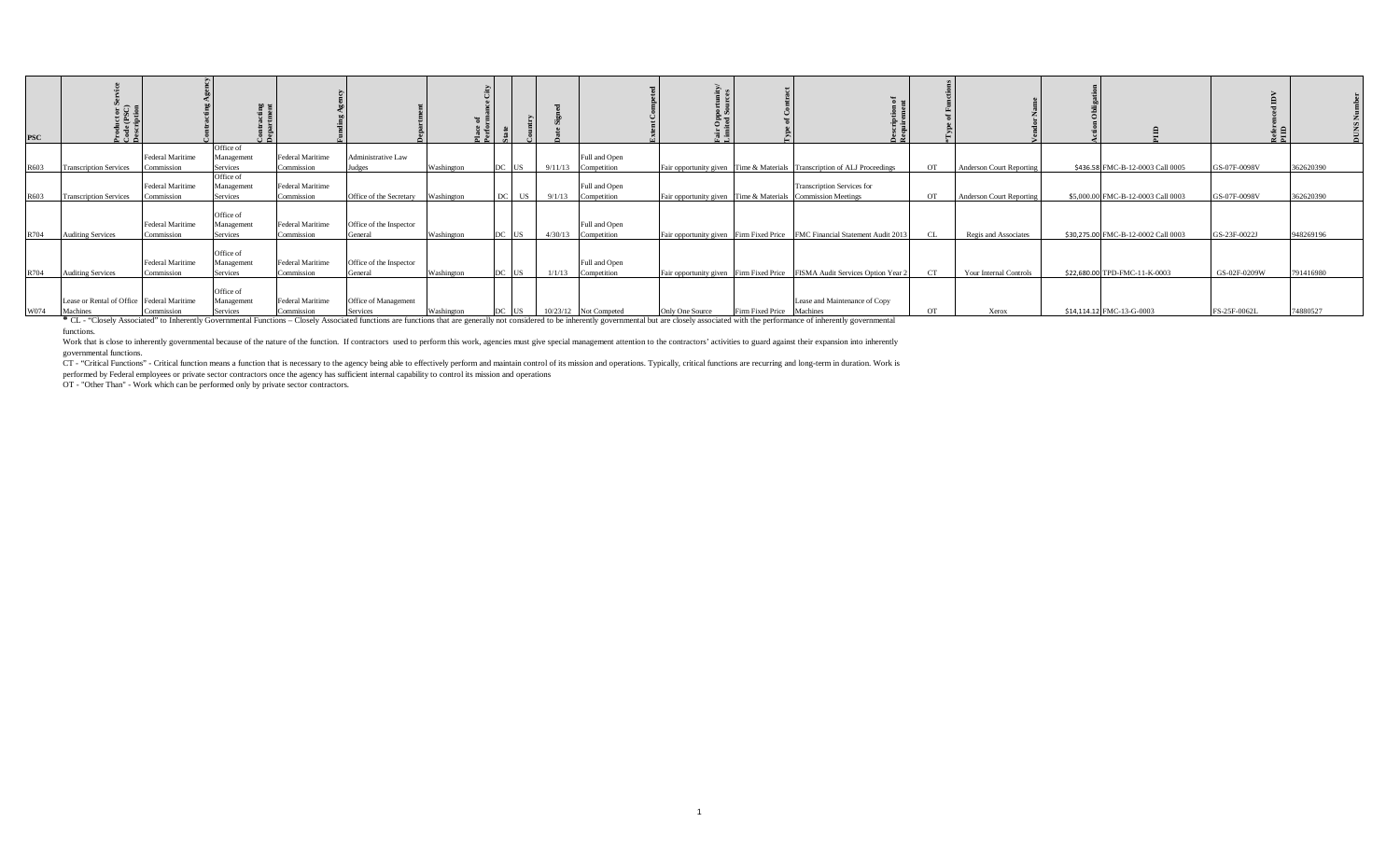| <b>PSC</b> | కరడ                                                    |                                       |                                            |                                       |                                         |            |           |         |                                      |                                                                            |                                   |           |                                 |                                     | Refer<br>PIID |           |
|------------|--------------------------------------------------------|---------------------------------------|--------------------------------------------|---------------------------------------|-----------------------------------------|------------|-----------|---------|--------------------------------------|----------------------------------------------------------------------------|-----------------------------------|-----------|---------------------------------|-------------------------------------|---------------|-----------|
| R603       | <b>Transcription Services</b>                          | <b>Federal Maritime</b><br>Commission | Office of<br>Management<br><b>Services</b> | Federal Maritime<br>Commission        | Administrative Law<br>Judges            | Washington | DC US     | 9/11/13 | Full and Open<br>Competition         | Fair opportunity given Time & Materials Transcription of ALJ Proceedings   |                                   | <b>OT</b> | <b>Anderson Court Reporting</b> | \$436.58 FMC-B-12-0003 Call 0005    | GS-07F-0098V  | 362620390 |
| R603       | <b>Transcription Services</b>                          | <b>Federal Maritime</b><br>Commission | Office of<br>Management<br>Services        | <b>Federal Maritime</b><br>Commission | Office of the Secretary Washington      |            | US<br>DC. | 9/1/13  | Full and Open<br>Competition         | Fair opportunity given Time & Materials Commission Meetings                | <b>Transcription Services for</b> | <b>OT</b> | <b>Anderson Court Reporting</b> | \$5,000.00 FMC-B-12-0003 Call 0003  | GS-07F-0098V  | 362620390 |
| R704       | <b>Auditing Services</b>                               | <b>Federal Maritime</b><br>Commission | Office of<br>Management<br>Services        | Federal Maritime<br>Commission        | Office of the Inspector<br>General      | Washington | DC US     |         | Full and Open<br>4/30/13 Competition | Fair opportunity given Firm Fixed Price FMC Financial Statement Audit 2013 |                                   | CL.       | Regis and Associates            | \$30,275.00 FMC-B-12-0002 Call 0003 | GS-23F-0022J  | 948269196 |
| R704       | <b>Auditing Services</b>                               | Federal Maritime<br>Commission        | Office of<br>Management<br><b>Services</b> | Federal Maritime<br>Commission        | Office of the Inspector<br>General      | Washington | DC US     | 1/1/13  | Full and Open<br>Competition         | Fair opportunity given Firm Fixed Price FISMA Audit Services Option Year 2 |                                   | CT        | Your Internal Controls          | \$22,680.00 TPD-FMC-11-K-0003       | GS-02F-0209W  | 791416980 |
| W074       | Lease or Rental of Office Federal Maritime<br>Machines | Commission                            | Office of<br>Management<br>Services        | Federal Maritime<br>Commission        | Office of Management<br><b>Services</b> | Washington | DC US     |         | 10/23/12 Not Competed                | Firm Fixed Price Machines<br>Only One Source                               | Lease and Maintenance of Copy     | <b>OT</b> | Xerox                           | \$14,114.12 FMC-13-G-0003           | FS-25F-0062L  | 74880527  |

Machines Commission Services Commission Services Commission Services Services Services Services Services Services Services Services Services Services Services Services Services Services Services Services Services Services functions.

Work that is close to inherently governmental because of the nature of the function. If contractors used to perform this work, agencies must give special management attention to the contractors' activities to guard against governmental functions.

CT - "Critical Functions" - Critical function means a function that is necessary to the agency being able to effectively perform and maintain control of its mission and operations. Typically, critical functions are recurri

performed by Federal employees or private sector contractors once the agency has sufficient internal capability to control its mission and operations<br>OT - "Other Than" - Work which can be performed only by private sector c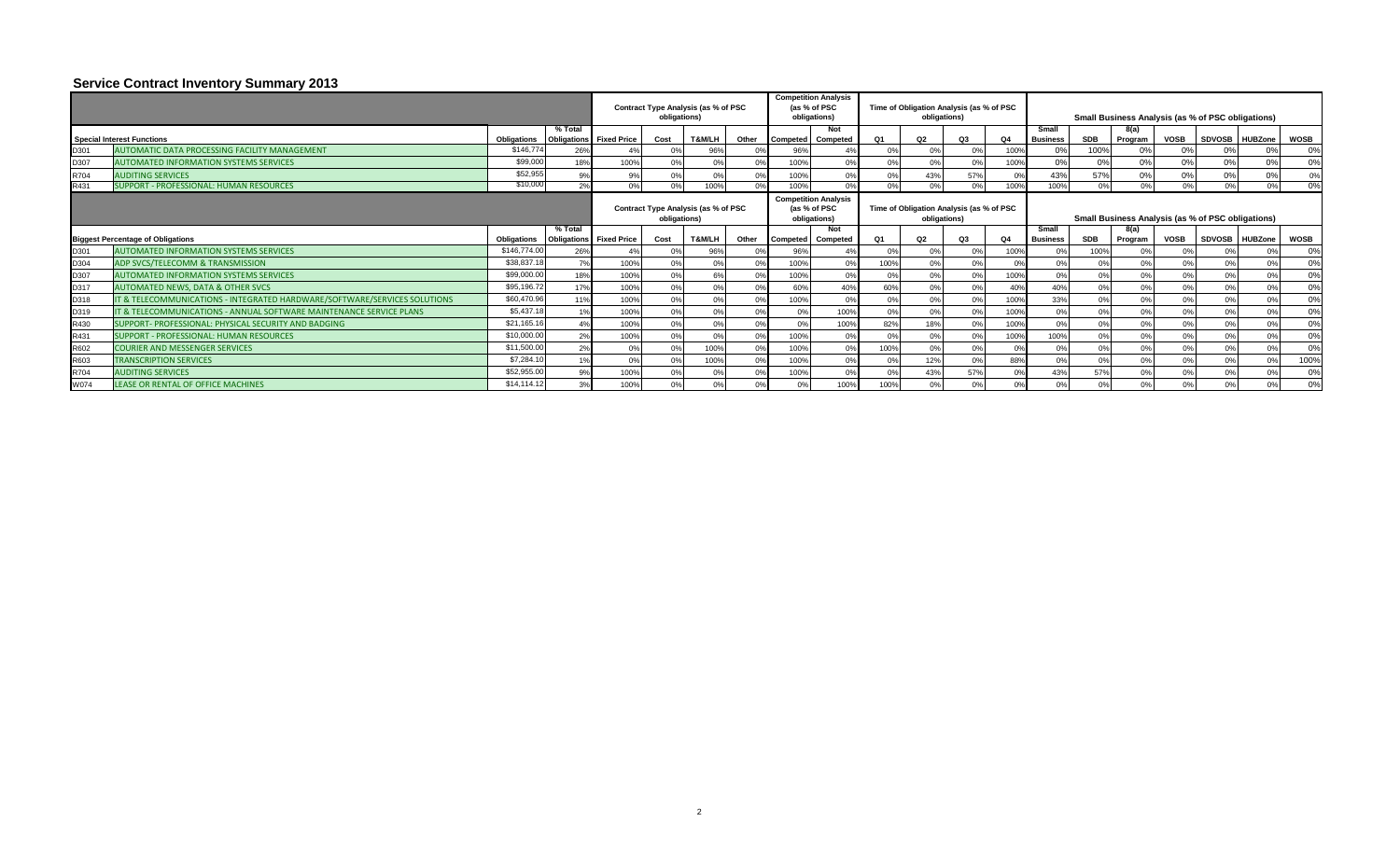## **Service Contract Inventory Summary 2013**

|      |                                                                           |                    |                                           |                | obligations) | Contract Type Analysis (as % of PSC |       |                 | <b>Competition Analysis</b><br>(as % of PSC<br>obligations) |                | obligations)   | Time of Obligation Analysis (as % of PSC |      |                          |                  | Small Business Analysis (as % of PSC obligations) |             |                |                       |             |
|------|---------------------------------------------------------------------------|--------------------|-------------------------------------------|----------------|--------------|-------------------------------------|-------|-----------------|-------------------------------------------------------------|----------------|----------------|------------------------------------------|------|--------------------------|------------------|---------------------------------------------------|-------------|----------------|-----------------------|-------------|
|      | <b>Special Interest Functions</b>                                         | <b>Obligations</b> | % Total<br><b>Obligations</b> Fixed Price |                | Cost         | T&M/LH                              | Other | <b>Competed</b> | Not<br>Competed                                             | <b>O1</b>      | Q2             | Q3                                       | Q4.  | Small<br><b>Business</b> | SDB              | 8(a)<br>Program                                   | <b>VOSB</b> | SDVOSB HUBZone |                       | <b>WOSB</b> |
| D301 | AUTOMATIC DATA PROCESSING FACILITY MANAGEMENT                             | \$146,774          | 26%                                       | 4 <sup>0</sup> | 0%           | 96%                                 |       | 96%             | 4 <sup>o</sup>                                              | 0 <sup>9</sup> | 0 <sup>9</sup> | 0%                                       | 100% |                          | 100%             | 0%                                                |             |                | 0%                    | 0%          |
| D307 | <b>AUTOMATED INFORMATION SYSTEMS SERVICES</b>                             | \$99,00            | 18%                                       | 100%           | 0%           | 0 <sup>9</sup>                      |       | 100%            | 0 <sup>9</sup>                                              | 0%             | 0 <sup>9</sup> | 0%                                       | 100% |                          | 0 <sup>9</sup>   | 0%                                                |             | 0%             | 0%                    | 0%          |
| R704 | <b>AUDITING SERVICES</b>                                                  | \$52,955           | 9%                                        | 9%             | 0%           | 0%                                  |       | 100%            | 0%                                                          | 0%             | 43%            | 57%                                      | 0%   | 43%                      | 57%              | 0%                                                |             | 0%             | 0%                    | 0%          |
| R431 | SUPPORT - PROFESSIONAL: HUMAN RESOURCES                                   | \$10,000           | 2%                                        | 0%             | 0%           | 100%                                |       | 100%            | 0%                                                          | 0%             | 0%             | 0%                                       | 100% | 100%                     | 0%               | 0%                                                |             | 0%             | 0%                    | 0%          |
|      |                                                                           |                    |                                           |                | obligations) | Contract Type Analysis (as % of PSC |       |                 | <b>Competition Analysis</b><br>(as % of PSC<br>obligations) |                | obligations)   | Time of Obligation Analysis (as % of PSC |      |                          |                  | Small Business Analysis (as % of PSC obligations) |             |                |                       |             |
|      |                                                                           |                    | % Total                                   |                |              |                                     |       |                 | Not                                                         |                |                |                                          |      | Small                    |                  | 8(a)                                              |             |                |                       |             |
|      | <b>Biggest Percentage of Obligations</b>                                  | <b>Obligations</b> | <b>Obligations</b> Fixed Price            |                | Cost         | T&M/LH                              | Other | <b>Competed</b> | Competed                                                    | Q <sub>1</sub> | Q2             | Q3                                       | Q4   | <b>Business</b>          | <b>SDB</b>       | Program                                           | <b>VOSB</b> | SDVOSB HUBZone |                       | <b>WOSB</b> |
| D301 | <b>AUTOMATED INFORMATION SYSTEMS SERVICES</b>                             | \$146,774.0        | 26%                                       | 4 <sup>0</sup> | 0%           | 96%                                 |       | 96%             |                                                             | 0 <sup>9</sup> | 0 <sup>9</sup> | 0 <sup>9</sup>                           | 100% | 0%                       | 100%             | 0%                                                |             |                |                       | 0%          |
| D304 | ADP SVCS/TELECOMM & TRANSMISSION                                          | \$38,837.1         | 7%                                        | 100%           | 0%           | 0 <sup>9</sup>                      |       | 100%            | 0 <sup>9</sup>                                              | 100%           | 0%             | 0%                                       | 0%   | 0%                       | 0%               | 0%                                                |             | 0%             | $\Omega$ <sup>o</sup> | 0%          |
| D307 | AUTOMATED INFORMATION SYSTEMS SERVICES                                    | \$99,000.0         | 18%                                       | 100%           | 0%           |                                     |       | 100%            | 0 <sup>9</sup>                                              | 0%             | 0 <sup>9</sup> | 0%                                       | 100% | 0%                       | 0%               | 0%                                                |             | 0%             | $\Omega$ <sup>o</sup> | 0%          |
| D317 | <b>AUTOMATED NEWS, DATA &amp; OTHER SVCS</b>                              | \$95,196.72        | 17%                                       | 100%           | 0%           | 0 <sup>9</sup>                      |       | 60%             | 40%                                                         | 60%            | 0 <sup>9</sup> | 0%                                       | 40%  | 40%                      | 0%               | 0%                                                |             | 0%             | nº                    | 0%          |
| D318 | IT & TELECOMMUNICATIONS - INTEGRATED HARDWARE/SOFTWARE/SERVICES SOLUTIONS | \$60,470.9         | 11%                                       | 100%           | 0%           |                                     |       | 100%            |                                                             | 0%             | 0 <sup>9</sup> | 0%                                       | 100% | 33%                      | 0%               | 0%                                                |             | 0%             |                       | 0%          |
| D319 | IT & TELECOMMUNICATIONS - ANNUAL SOFTWARE MAINTENANCE SERVICE PLANS       | \$5,437.18         |                                           | 100%           | 0%           |                                     |       |                 | 100%                                                        | 0%             | 0 <sup>9</sup> |                                          | 100% | 0%                       | 0%               | 0%                                                |             | 0 <sup>9</sup> |                       | 0%          |
| R430 | SUPPORT- PROFESSIONAL: PHYSICAL SECURITY AND BADGING                      | \$21,165.16        | 4%                                        | 100%           | 0%           |                                     |       |                 | 100%                                                        | 82%            | 18%            | 0%                                       | 100% | 0%                       | 0 <sup>9</sup>   | 0%                                                |             | 0 <sup>o</sup> |                       | 0%          |
| R431 | SUPPORT - PROFESSIONAL: HUMAN RESOURCES                                   | \$10,000.0         | 2%                                        | 100%           | 0%           | 0 <sup>o</sup>                      |       | 100%            | 0 <sup>9</sup>                                              | 0%             | 0 <sup>9</sup> |                                          | 100% | 100%                     | $\Omega^{\rm q}$ | 0%                                                |             | 0 <sup>o</sup> |                       | 0%          |
| R602 | <b>COURIER AND MESSENGER SERVICES</b>                                     | \$11,500.0         | 2%                                        | 0 <sup>9</sup> | 0%           | 100%                                |       | 100%            | 0 <sup>9</sup>                                              | 100%           | 0 <sup>9</sup> | 0%                                       | 0%   | 0%                       | 0 <sup>9</sup>   | 0%                                                |             |                |                       | 0%          |
| R603 | <b>TRANSCRIPTION SERVICES</b>                                             | \$7,284.1          | 1%                                        | 0 <sup>9</sup> | 0%           | 100%                                |       | 100%            | 0%                                                          | 0%             | 12%            | 0%                                       | 88%  | 0%                       | 0%               | 0%                                                |             | 0%             | 0%                    | 100%        |
| R704 | <b>AUDITING SERVICES</b>                                                  | \$52,955.0         | 9%                                        | 100%           | 0%           |                                     |       | 100%            | 0 <sup>9</sup>                                              | 0 <sup>9</sup> | 43%            | 57%                                      | 0%   | 43%                      | 57%              | 0%                                                |             | 0%             | $\Omega$ <sup>o</sup> | 0%          |
| W074 | LEASE OR RENTAL OF OFFICE MACHINES                                        | \$14,114.12        | 3%                                        | 100%           | 0%           | 0%                                  |       |                 | 100%                                                        | 100%           | 0%             | 0%                                       | 0%   | 0%                       | 0%               | 0%                                                |             | 0%             | 0%                    | 0%          |